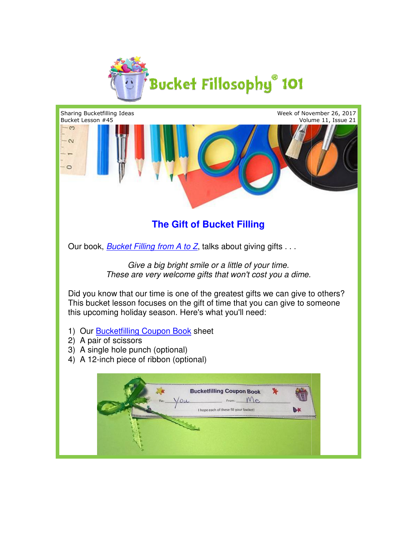